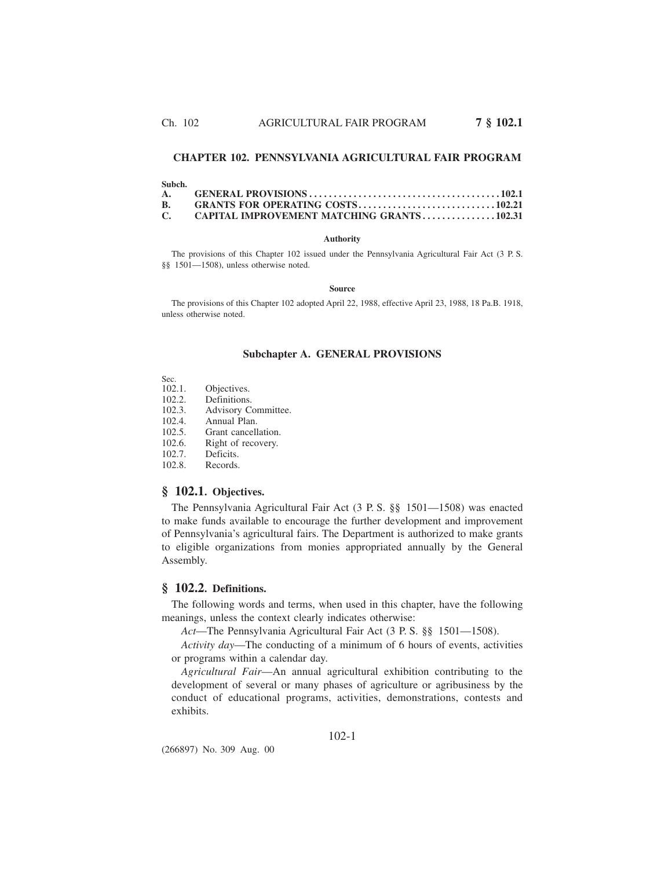## **CHAPTER 102. PENNSYLVANIA AGRICULTURAL FAIR PROGRAM**

#### **Subch.**

| C. CAPITAL IMPROVEMENT MATCHING GRANTS102.31 |  |
|----------------------------------------------|--|

#### **Authority**

The provisions of this Chapter 102 issued under the Pennsylvania Agricultural Fair Act (3 P. S. §§ 1501—1508), unless otherwise noted.

#### **Source**

The provisions of this Chapter 102 adopted April 22, 1988, effective April 23, 1988, 18 Pa.B. 1918, unless otherwise noted.

#### **Subchapter A. GENERAL PROVISIONS**

| . .<br>. | ., | ٠ |  |
|----------|----|---|--|
|          |    |   |  |

- $102.1.$ Objectives.
- 102.2. Definitions.
- 102.3. Advisory Committee.
- 102.4. Annual Plan.
- 102.5. Grant cancellation.
- 102.6. Right of recovery.
- 102.7. Deficits.
- 102.8. Records.

# **§ 102.1. Objectives.**

The Pennsylvania Agricultural Fair Act (3 P. S. §§ 1501—1508) was enacted to make funds available to encourage the further development and improvement of Pennsylvania's agricultural fairs. The Department is authorized to make grants to eligible organizations from monies appropriated annually by the General Assembly.

### **§ 102.2. Definitions.**

The following words and terms, when used in this chapter, have the following meanings, unless the context clearly indicates otherwise:

*Act*—The Pennsylvania Agricultural Fair Act (3 P. S. §§ 1501—1508).

*Activity day*—The conducting of a minimum of 6 hours of events, activities or programs within a calendar day.

*Agricultural Fair*—An annual agricultural exhibition contributing to the development of several or many phases of agriculture or agribusiness by the conduct of educational programs, activities, demonstrations, contests and exhibits.

### 102-1

(266897) No. 309 Aug. 00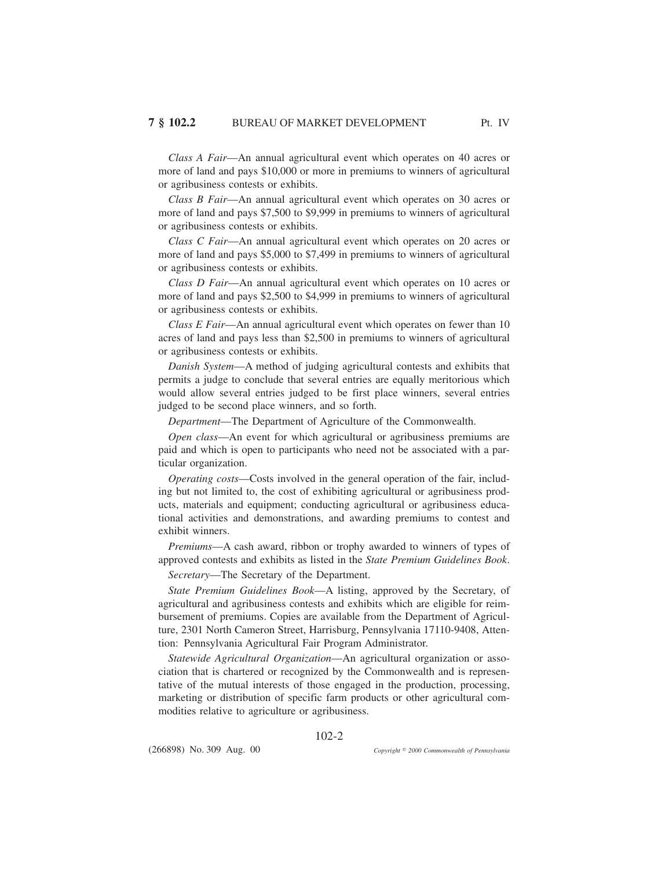*Class A Fair*—An annual agricultural event which operates on 40 acres or more of land and pays \$10,000 or more in premiums to winners of agricultural or agribusiness contests or exhibits.

*Class B Fair*—An annual agricultural event which operates on 30 acres or more of land and pays \$7,500 to \$9,999 in premiums to winners of agricultural or agribusiness contests or exhibits.

*Class C Fair*—An annual agricultural event which operates on 20 acres or more of land and pays \$5,000 to \$7,499 in premiums to winners of agricultural or agribusiness contests or exhibits.

*Class D Fair*—An annual agricultural event which operates on 10 acres or more of land and pays \$2,500 to \$4,999 in premiums to winners of agricultural or agribusiness contests or exhibits.

*Class E Fair*—An annual agricultural event which operates on fewer than 10 acres of land and pays less than \$2,500 in premiums to winners of agricultural or agribusiness contests or exhibits.

*Danish System*—A method of judging agricultural contests and exhibits that permits a judge to conclude that several entries are equally meritorious which would allow several entries judged to be first place winners, several entries judged to be second place winners, and so forth.

*Department*—The Department of Agriculture of the Commonwealth.

*Open class*—An event for which agricultural or agribusiness premiums are paid and which is open to participants who need not be associated with a particular organization.

*Operating costs*—Costs involved in the general operation of the fair, including but not limited to, the cost of exhibiting agricultural or agribusiness products, materials and equipment; conducting agricultural or agribusiness educational activities and demonstrations, and awarding premiums to contest and exhibit winners.

*Premiums*—A cash award, ribbon or trophy awarded to winners of types of approved contests and exhibits as listed in the *State Premium Guidelines Book*.

*Secretary*—The Secretary of the Department.

*State Premium Guidelines Book*—A listing, approved by the Secretary, of agricultural and agribusiness contests and exhibits which are eligible for reimbursement of premiums. Copies are available from the Department of Agriculture, 2301 North Cameron Street, Harrisburg, Pennsylvania 17110-9408, Attention: Pennsylvania Agricultural Fair Program Administrator.

*Statewide Agricultural Organization*—An agricultural organization or association that is chartered or recognized by the Commonwealth and is representative of the mutual interests of those engaged in the production, processing, marketing or distribution of specific farm products or other agricultural commodities relative to agriculture or agribusiness.

102-2

(266898) No. 309 Aug. 00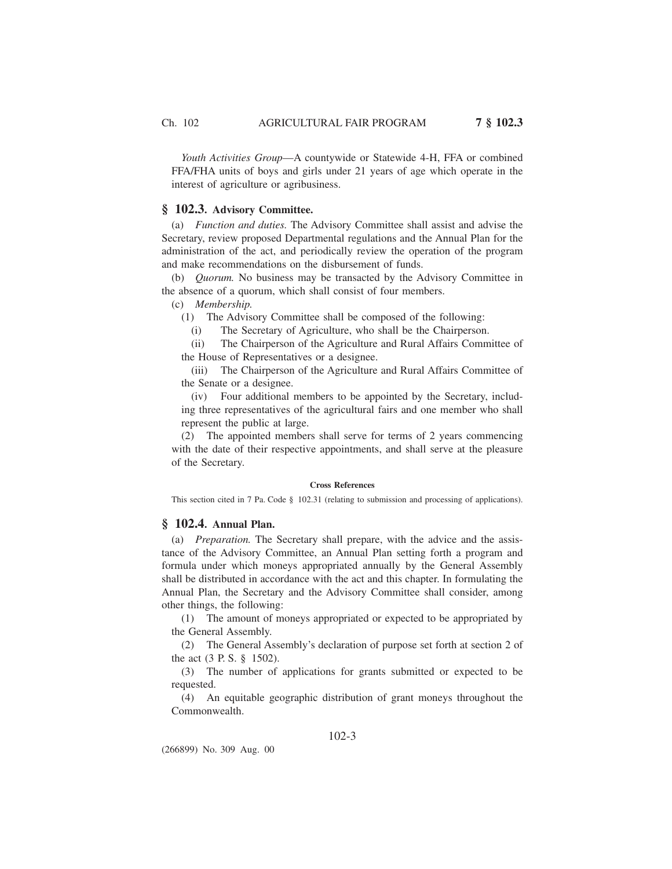*Youth Activities Group*—A countywide or Statewide 4-H, FFA or combined FFA/FHA units of boys and girls under 21 years of age which operate in the interest of agriculture or agribusiness.

#### **§ 102.3. Advisory Committee.**

(a) *Function and duties.* The Advisory Committee shall assist and advise the Secretary, review proposed Departmental regulations and the Annual Plan for the administration of the act, and periodically review the operation of the program and make recommendations on the disbursement of funds.

(b) *Quorum.* No business may be transacted by the Advisory Committee in the absence of a quorum, which shall consist of four members.

(c) *Membership.*

(1) The Advisory Committee shall be composed of the following:

(i) The Secretary of Agriculture, who shall be the Chairperson.

(ii) The Chairperson of the Agriculture and Rural Affairs Committee of the House of Representatives or a designee.

(iii) The Chairperson of the Agriculture and Rural Affairs Committee of the Senate or a designee.

(iv) Four additional members to be appointed by the Secretary, including three representatives of the agricultural fairs and one member who shall represent the public at large.

(2) The appointed members shall serve for terms of 2 years commencing with the date of their respective appointments, and shall serve at the pleasure of the Secretary.

#### **Cross References**

This section cited in 7 Pa. Code § 102.31 (relating to submission and processing of applications).

## **§ 102.4. Annual Plan.**

(a) *Preparation.* The Secretary shall prepare, with the advice and the assistance of the Advisory Committee, an Annual Plan setting forth a program and formula under which moneys appropriated annually by the General Assembly shall be distributed in accordance with the act and this chapter. In formulating the Annual Plan, the Secretary and the Advisory Committee shall consider, among other things, the following:

(1) The amount of moneys appropriated or expected to be appropriated by the General Assembly.

(2) The General Assembly's declaration of purpose set forth at section 2 of the act (3 P. S. § 1502).

(3) The number of applications for grants submitted or expected to be requested.

(4) An equitable geographic distribution of grant moneys throughout the Commonwealth.

### 102-3

(266899) No. 309 Aug. 00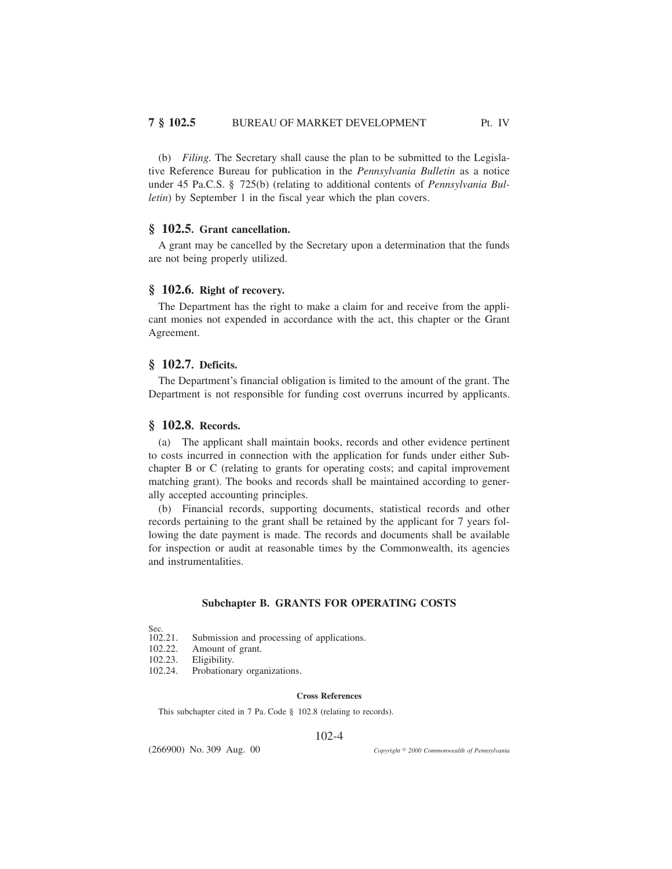(b) *Filing.* The Secretary shall cause the plan to be submitted to the Legislative Reference Bureau for publication in the *Pennsylvania Bulletin* as a notice under 45 Pa.C.S. § 725(b) (relating to additional contents of *Pennsylvania Bulletin*) by September 1 in the fiscal year which the plan covers.

# **§ 102.5. Grant cancellation.**

A grant may be cancelled by the Secretary upon a determination that the funds are not being properly utilized.

# **§ 102.6. Right of recovery.**

The Department has the right to make a claim for and receive from the applicant monies not expended in accordance with the act, this chapter or the Grant Agreement.

## **§ 102.7. Deficits.**

The Department's financial obligation is limited to the amount of the grant. The Department is not responsible for funding cost overruns incurred by applicants.

## **§ 102.8. Records.**

(a) The applicant shall maintain books, records and other evidence pertinent to costs incurred in connection with the application for funds under either Subchapter B or C (relating to grants for operating costs; and capital improvement matching grant). The books and records shall be maintained according to generally accepted accounting principles.

(b) Financial records, supporting documents, statistical records and other records pertaining to the grant shall be retained by the applicant for 7 years following the date payment is made. The records and documents shall be available for inspection or audit at reasonable times by the Commonwealth, its agencies and instrumentalities.

# **Subchapter B. GRANTS FOR OPERATING COSTS**

- 
- Sec.<br>102.21. Submission and processing of applications.
- 102.22. Amount of grant.
- 102.23. Eligibility.<br>102.24. Probationa
- Probationary organizations.

### **Cross References**

This subchapter cited in 7 Pa. Code § 102.8 (relating to records).

### 102-4

(266900) No. 309 Aug. 00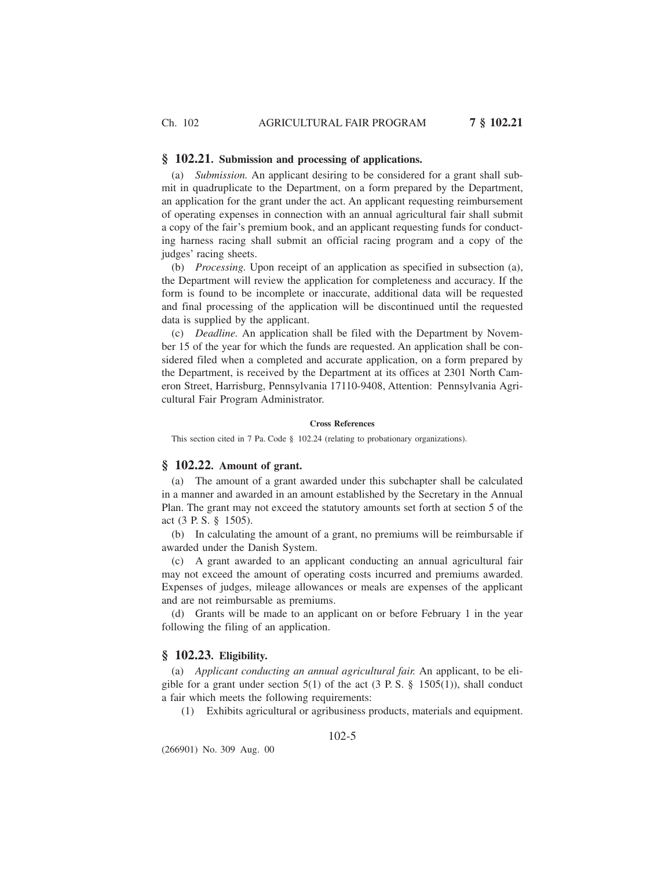#### **§ 102.21. Submission and processing of applications.**

(a) *Submission.* An applicant desiring to be considered for a grant shall submit in quadruplicate to the Department, on a form prepared by the Department, an application for the grant under the act. An applicant requesting reimbursement of operating expenses in connection with an annual agricultural fair shall submit a copy of the fair's premium book, and an applicant requesting funds for conducting harness racing shall submit an official racing program and a copy of the judges' racing sheets.

(b) *Processing.* Upon receipt of an application as specified in subsection (a), the Department will review the application for completeness and accuracy. If the form is found to be incomplete or inaccurate, additional data will be requested and final processing of the application will be discontinued until the requested data is supplied by the applicant.

(c) *Deadline.* An application shall be filed with the Department by November 15 of the year for which the funds are requested. An application shall be considered filed when a completed and accurate application, on a form prepared by the Department, is received by the Department at its offices at 2301 North Cameron Street, Harrisburg, Pennsylvania 17110-9408, Attention: Pennsylvania Agricultural Fair Program Administrator.

#### **Cross References**

This section cited in 7 Pa. Code § 102.24 (relating to probationary organizations).

### **§ 102.22. Amount of grant.**

(a) The amount of a grant awarded under this subchapter shall be calculated in a manner and awarded in an amount established by the Secretary in the Annual Plan. The grant may not exceed the statutory amounts set forth at section 5 of the act (3 P. S. § 1505).

(b) In calculating the amount of a grant, no premiums will be reimbursable if awarded under the Danish System.

(c) A grant awarded to an applicant conducting an annual agricultural fair may not exceed the amount of operating costs incurred and premiums awarded. Expenses of judges, mileage allowances or meals are expenses of the applicant and are not reimbursable as premiums.

(d) Grants will be made to an applicant on or before February 1 in the year following the filing of an application.

### **§ 102.23. Eligibility.**

(a) *Applicant conducting an annual agricultural fair.* An applicant, to be eligible for a grant under section  $5(1)$  of the act  $(3 \text{ P. S. § } 1505(1))$ , shall conduct a fair which meets the following requirements:

(1) Exhibits agricultural or agribusiness products, materials and equipment.

102-5

(266901) No. 309 Aug. 00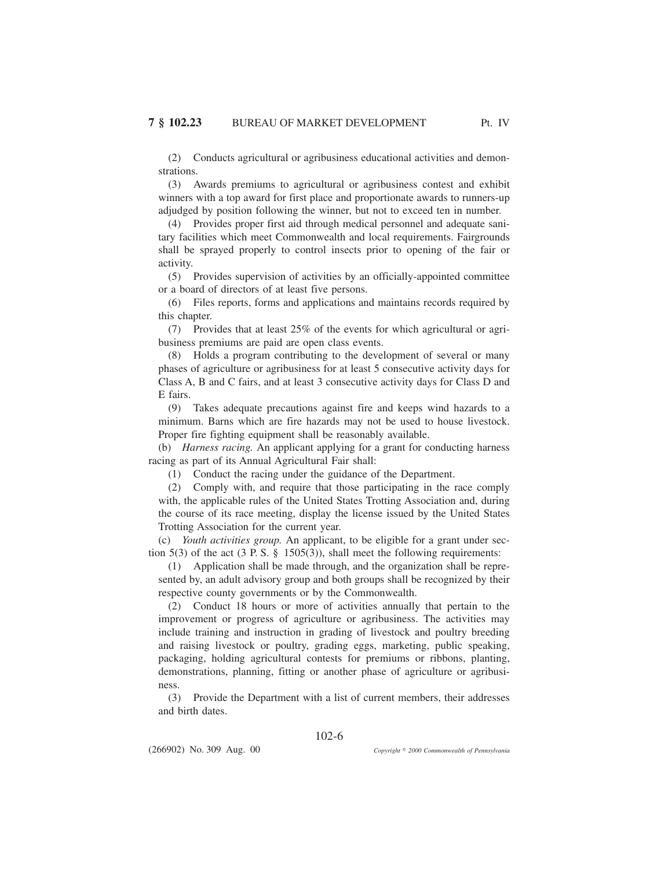(2) Conducts agricultural or agribusiness educational activities and demonstrations.

(3) Awards premiums to agricultural or agribusiness contest and exhibit winners with a top award for first place and proportionate awards to runners-up adjudged by position following the winner, but not to exceed ten in number.

(4) Provides proper first aid through medical personnel and adequate sanitary facilities which meet Commonwealth and local requirements. Fairgrounds shall be sprayed properly to control insects prior to opening of the fair or activity.

(5) Provides supervision of activities by an officially-appointed committee or a board of directors of at least five persons.

(6) Files reports, forms and applications and maintains records required by this chapter.

(7) Provides that at least 25% of the events for which agricultural or agribusiness premiums are paid are open class events.

(8) Holds a program contributing to the development of several or many phases of agriculture or agribusiness for at least 5 consecutive activity days for Class A, B and C fairs, and at least 3 consecutive activity days for Class D and E fairs.

(9) Takes adequate precautions against fire and keeps wind hazards to a minimum. Barns which are fire hazards may not be used to house livestock. Proper fire fighting equipment shall be reasonably available.

(b) *Harness racing.* An applicant applying for a grant for conducting harness racing as part of its Annual Agricultural Fair shall:

(1) Conduct the racing under the guidance of the Department.

(2) Comply with, and require that those participating in the race comply with, the applicable rules of the United States Trotting Association and, during the course of its race meeting, display the license issued by the United States Trotting Association for the current year.

(c) *Youth activities group.* An applicant, to be eligible for a grant under section 5(3) of the act (3 P. S.  $\S$  1505(3)), shall meet the following requirements:

(1) Application shall be made through, and the organization shall be represented by, an adult advisory group and both groups shall be recognized by their respective county governments or by the Commonwealth.

(2) Conduct 18 hours or more of activities annually that pertain to the improvement or progress of agriculture or agribusiness. The activities may include training and instruction in grading of livestock and poultry breeding and raising livestock or poultry, grading eggs, marketing, public speaking, packaging, holding agricultural contests for premiums or ribbons, planting, demonstrations, planning, fitting or another phase of agriculture or agribusiness.

(3) Provide the Department with a list of current members, their addresses and birth dates.

102-6

(266902) No. 309 Aug. 00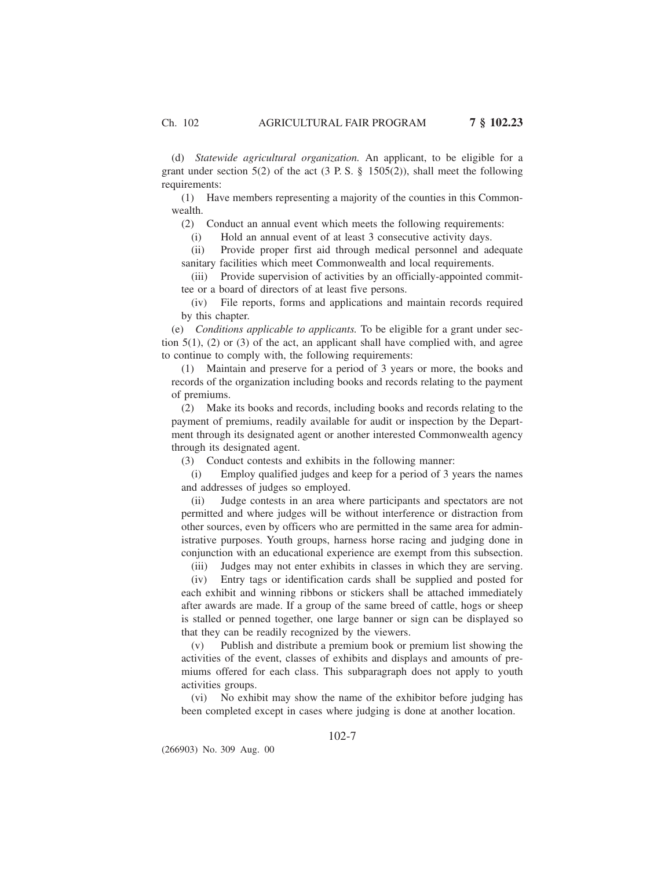(d) *Statewide agricultural organization.* An applicant, to be eligible for a grant under section  $5(2)$  of the act  $(3 \text{ P. S. } § 1505(2))$ , shall meet the following requirements:

(1) Have members representing a majority of the counties in this Commonwealth.

(2) Conduct an annual event which meets the following requirements:

(i) Hold an annual event of at least 3 consecutive activity days.

(ii) Provide proper first aid through medical personnel and adequate sanitary facilities which meet Commonwealth and local requirements.

(iii) Provide supervision of activities by an officially-appointed committee or a board of directors of at least five persons.

(iv) File reports, forms and applications and maintain records required by this chapter.

(e) *Conditions applicable to applicants.* To be eligible for a grant under section  $5(1)$ ,  $(2)$  or  $(3)$  of the act, an applicant shall have complied with, and agree to continue to comply with, the following requirements:

(1) Maintain and preserve for a period of 3 years or more, the books and records of the organization including books and records relating to the payment of premiums.

(2) Make its books and records, including books and records relating to the payment of premiums, readily available for audit or inspection by the Department through its designated agent or another interested Commonwealth agency through its designated agent.

(3) Conduct contests and exhibits in the following manner:

(i) Employ qualified judges and keep for a period of 3 years the names and addresses of judges so employed.

(ii) Judge contests in an area where participants and spectators are not permitted and where judges will be without interference or distraction from other sources, even by officers who are permitted in the same area for administrative purposes. Youth groups, harness horse racing and judging done in conjunction with an educational experience are exempt from this subsection.

(iii) Judges may not enter exhibits in classes in which they are serving.

(iv) Entry tags or identification cards shall be supplied and posted for each exhibit and winning ribbons or stickers shall be attached immediately after awards are made. If a group of the same breed of cattle, hogs or sheep is stalled or penned together, one large banner or sign can be displayed so that they can be readily recognized by the viewers.

(v) Publish and distribute a premium book or premium list showing the activities of the event, classes of exhibits and displays and amounts of premiums offered for each class. This subparagraph does not apply to youth activities groups.

(vi) No exhibit may show the name of the exhibitor before judging has been completed except in cases where judging is done at another location.

102-7

(266903) No. 309 Aug. 00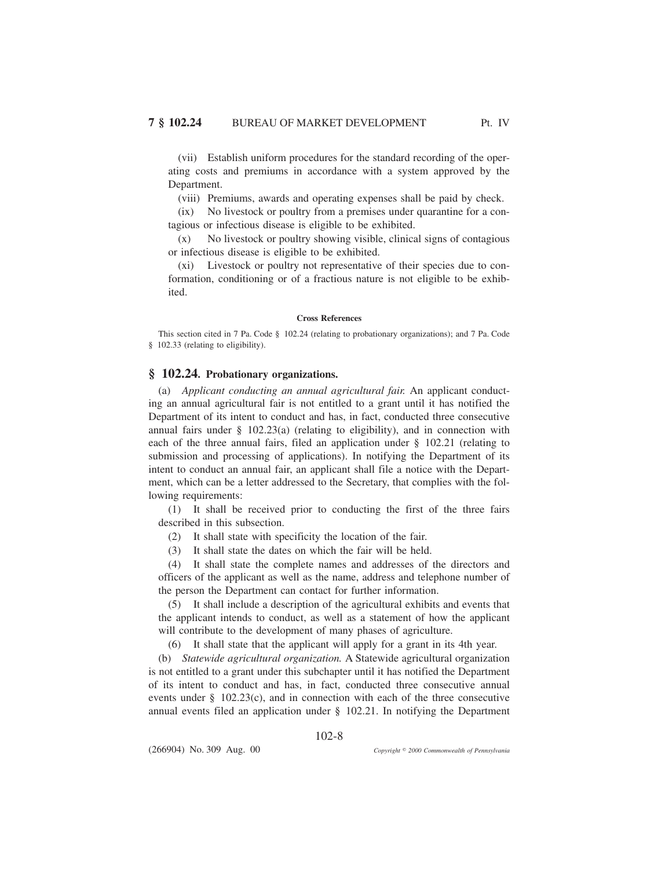(vii) Establish uniform procedures for the standard recording of the operating costs and premiums in accordance with a system approved by the Department.

(viii) Premiums, awards and operating expenses shall be paid by check.

(ix) No livestock or poultry from a premises under quarantine for a contagious or infectious disease is eligible to be exhibited.

(x) No livestock or poultry showing visible, clinical signs of contagious or infectious disease is eligible to be exhibited.

(xi) Livestock or poultry not representative of their species due to conformation, conditioning or of a fractious nature is not eligible to be exhibited.

#### **Cross References**

This section cited in 7 Pa. Code § 102.24 (relating to probationary organizations); and 7 Pa. Code § 102.33 (relating to eligibility).

## **§ 102.24. Probationary organizations.**

(a) *Applicant conducting an annual agricultural fair.* An applicant conducting an annual agricultural fair is not entitled to a grant until it has notified the Department of its intent to conduct and has, in fact, conducted three consecutive annual fairs under §  $102.23(a)$  (relating to eligibility), and in connection with each of the three annual fairs, filed an application under § 102.21 (relating to submission and processing of applications). In notifying the Department of its intent to conduct an annual fair, an applicant shall file a notice with the Department, which can be a letter addressed to the Secretary, that complies with the following requirements:

(1) It shall be received prior to conducting the first of the three fairs described in this subsection.

- (2) It shall state with specificity the location of the fair.
- (3) It shall state the dates on which the fair will be held.

(4) It shall state the complete names and addresses of the directors and officers of the applicant as well as the name, address and telephone number of the person the Department can contact for further information.

(5) It shall include a description of the agricultural exhibits and events that the applicant intends to conduct, as well as a statement of how the applicant will contribute to the development of many phases of agriculture.

(6) It shall state that the applicant will apply for a grant in its 4th year.

(b) *Statewide agricultural organization.* A Statewide agricultural organization is not entitled to a grant under this subchapter until it has notified the Department of its intent to conduct and has, in fact, conducted three consecutive annual events under  $\S$  102.23(c), and in connection with each of the three consecutive annual events filed an application under § 102.21. In notifying the Department

102-8

(266904) No. 309 Aug. 00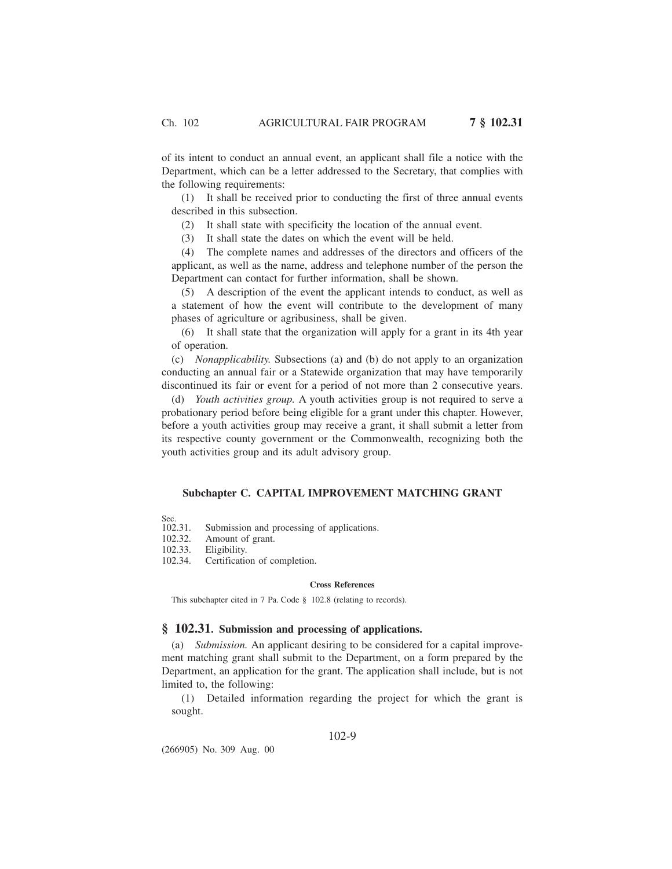of its intent to conduct an annual event, an applicant shall file a notice with the Department, which can be a letter addressed to the Secretary, that complies with the following requirements:

(1) It shall be received prior to conducting the first of three annual events described in this subsection.

(2) It shall state with specificity the location of the annual event.

(3) It shall state the dates on which the event will be held.

(4) The complete names and addresses of the directors and officers of the applicant, as well as the name, address and telephone number of the person the Department can contact for further information, shall be shown.

(5) A description of the event the applicant intends to conduct, as well as a statement of how the event will contribute to the development of many phases of agriculture or agribusiness, shall be given.

(6) It shall state that the organization will apply for a grant in its 4th year of operation.

(c) *Nonapplicability.* Subsections (a) and (b) do not apply to an organization conducting an annual fair or a Statewide organization that may have temporarily discontinued its fair or event for a period of not more than 2 consecutive years.

(d) *Youth activities group.* A youth activities group is not required to serve a probationary period before being eligible for a grant under this chapter. However, before a youth activities group may receive a grant, it shall submit a letter from its respective county government or the Commonwealth, recognizing both the youth activities group and its adult advisory group.

### **Subchapter C. CAPITAL IMPROVEMENT MATCHING GRANT**

Sec.<br>102.31. 102.31. Submission and processing of applications.<br>102.32. Amount of grant.

- Amount of grant.
- 102.33. Eligibility.
- 102.34. Certification of completion.

#### **Cross References**

This subchapter cited in 7 Pa. Code § 102.8 (relating to records).

#### **§ 102.31. Submission and processing of applications.**

(a) *Submission.* An applicant desiring to be considered for a capital improvement matching grant shall submit to the Department, on a form prepared by the Department, an application for the grant. The application shall include, but is not limited to, the following:

(1) Detailed information regarding the project for which the grant is sought.

### 102-9

(266905) No. 309 Aug. 00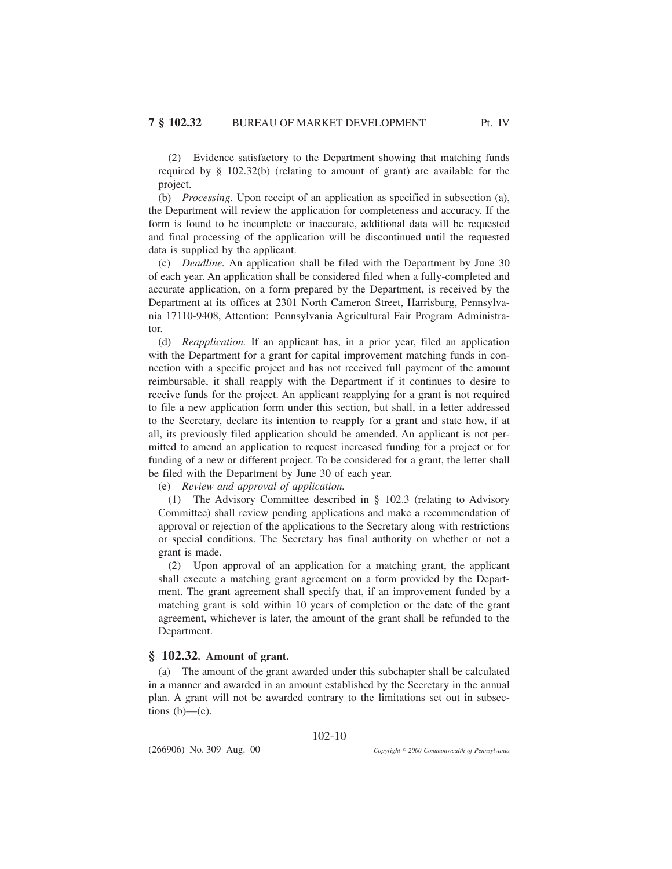(2) Evidence satisfactory to the Department showing that matching funds required by § 102.32(b) (relating to amount of grant) are available for the project.

(b) *Processing.* Upon receipt of an application as specified in subsection (a), the Department will review the application for completeness and accuracy. If the form is found to be incomplete or inaccurate, additional data will be requested and final processing of the application will be discontinued until the requested data is supplied by the applicant.

(c) *Deadline.* An application shall be filed with the Department by June 30 of each year. An application shall be considered filed when a fully-completed and accurate application, on a form prepared by the Department, is received by the Department at its offices at 2301 North Cameron Street, Harrisburg, Pennsylvania 17110-9408, Attention: Pennsylvania Agricultural Fair Program Administrator.

(d) *Reapplication.* If an applicant has, in a prior year, filed an application with the Department for a grant for capital improvement matching funds in connection with a specific project and has not received full payment of the amount reimbursable, it shall reapply with the Department if it continues to desire to receive funds for the project. An applicant reapplying for a grant is not required to file a new application form under this section, but shall, in a letter addressed to the Secretary, declare its intention to reapply for a grant and state how, if at all, its previously filed application should be amended. An applicant is not permitted to amend an application to request increased funding for a project or for funding of a new or different project. To be considered for a grant, the letter shall be filed with the Department by June 30 of each year.

(e) *Review and approval of application.*

(1) The Advisory Committee described in § 102.3 (relating to Advisory Committee) shall review pending applications and make a recommendation of approval or rejection of the applications to the Secretary along with restrictions or special conditions. The Secretary has final authority on whether or not a grant is made.

(2) Upon approval of an application for a matching grant, the applicant shall execute a matching grant agreement on a form provided by the Department. The grant agreement shall specify that, if an improvement funded by a matching grant is sold within 10 years of completion or the date of the grant agreement, whichever is later, the amount of the grant shall be refunded to the Department.

### **§ 102.32. Amount of grant.**

(266906) No. 309 Aug. 00

(a) The amount of the grant awarded under this subchapter shall be calculated in a manner and awarded in an amount established by the Secretary in the annual plan. A grant will not be awarded contrary to the limitations set out in subsections  $(b)$ — $(e)$ .

102-10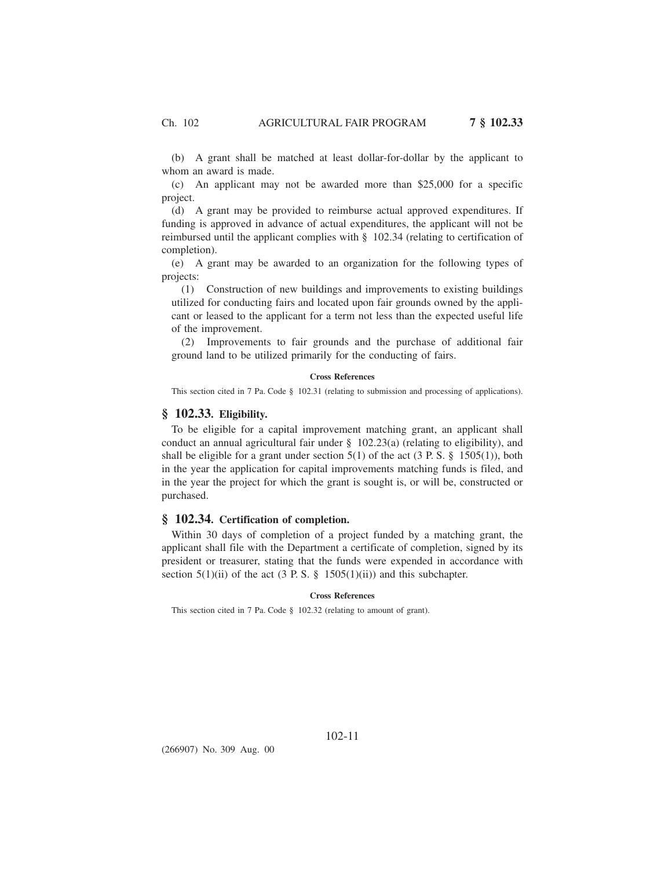(b) A grant shall be matched at least dollar-for-dollar by the applicant to whom an award is made.

(c) An applicant may not be awarded more than \$25,000 for a specific project.

(d) A grant may be provided to reimburse actual approved expenditures. If funding is approved in advance of actual expenditures, the applicant will not be reimbursed until the applicant complies with § 102.34 (relating to certification of completion).

(e) A grant may be awarded to an organization for the following types of projects:

(1) Construction of new buildings and improvements to existing buildings utilized for conducting fairs and located upon fair grounds owned by the applicant or leased to the applicant for a term not less than the expected useful life of the improvement.

(2) Improvements to fair grounds and the purchase of additional fair ground land to be utilized primarily for the conducting of fairs.

#### **Cross References**

This section cited in 7 Pa. Code § 102.31 (relating to submission and processing of applications).

### **§ 102.33. Eligibility.**

To be eligible for a capital improvement matching grant, an applicant shall conduct an annual agricultural fair under  $\S$  102.23(a) (relating to eligibility), and shall be eligible for a grant under section  $5(1)$  of the act  $(3 \text{ P. S. } § 1505(1))$ , both in the year the application for capital improvements matching funds is filed, and in the year the project for which the grant is sought is, or will be, constructed or purchased.

## **§ 102.34. Certification of completion.**

Within 30 days of completion of a project funded by a matching grant, the applicant shall file with the Department a certificate of completion, signed by its president or treasurer, stating that the funds were expended in accordance with section  $5(1)(ii)$  of the act (3 P. S. § 1505(1)(ii)) and this subchapter.

#### **Cross References**

This section cited in 7 Pa. Code § 102.32 (relating to amount of grant).

(266907) No. 309 Aug. 00

102-11